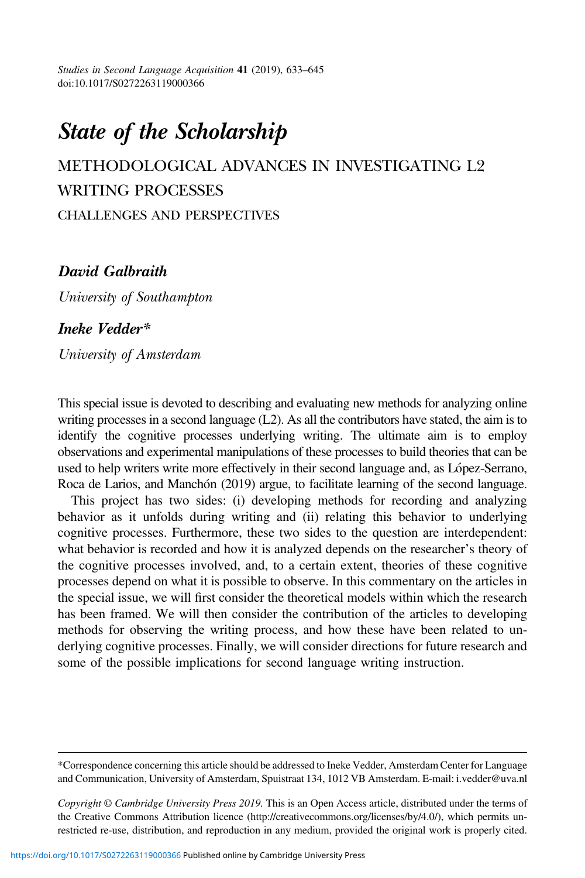Studies in Second Language Acquisition 41 (2019), 633–645 doi:10.1017/S0272263119000366

# State of the Scholarship

## METHODOLOGICAL ADVANCES IN INVESTIGATING L2 WRITING PROCESSES CHALLENGES AND PERSPECTIVES

## David Galbraith

University of Southampton

### Ineke Vedder\*

University of Amsterdam

This special issue is devoted to describing and evaluating new methods for analyzing online writing processes in a second language (L2). As all the contributors have stated, the aim is to identify the cognitive processes underlying writing. The ultimate aim is to employ observations and experimental manipulations of these processes to build theories that can be used to help writers write more effectively in their second language and, as López-Serrano, Roca de Larios, and Manchón (2019) argue, to facilitate learning of the second language.

This project has two sides: (i) developing methods for recording and analyzing behavior as it unfolds during writing and (ii) relating this behavior to underlying cognitive processes. Furthermore, these two sides to the question are interdependent: what behavior is recorded and how it is analyzed depends on the researcher's theory of the cognitive processes involved, and, to a certain extent, theories of these cognitive processes depend on what it is possible to observe. In this commentary on the articles in the special issue, we will first consider the theoretical models within which the research has been framed. We will then consider the contribution of the articles to developing methods for observing the writing process, and how these have been related to underlying cognitive processes. Finally, we will consider directions for future research and some of the possible implications for second language writing instruction.

<sup>\*</sup>Correspondence concerning this article should be addressed to Ineke Vedder, Amsterdam Center for Language and Communication, University of Amsterdam, Spuistraat 134, 1012 VB Amsterdam. E-mail: [i.vedder@uva.nl](mailto:i.vedder@uva.nl)

Copyright © Cambridge University Press 2019. This is an Open Access article, distributed under the terms of the Creative Commons Attribution licence [\(http://creativecommons.org/licenses/by/4.0/](http://creativecommons.org/licenses/by/4.0/)), which permits unrestricted re-use, distribution, and reproduction in any medium, provided the original work is properly cited.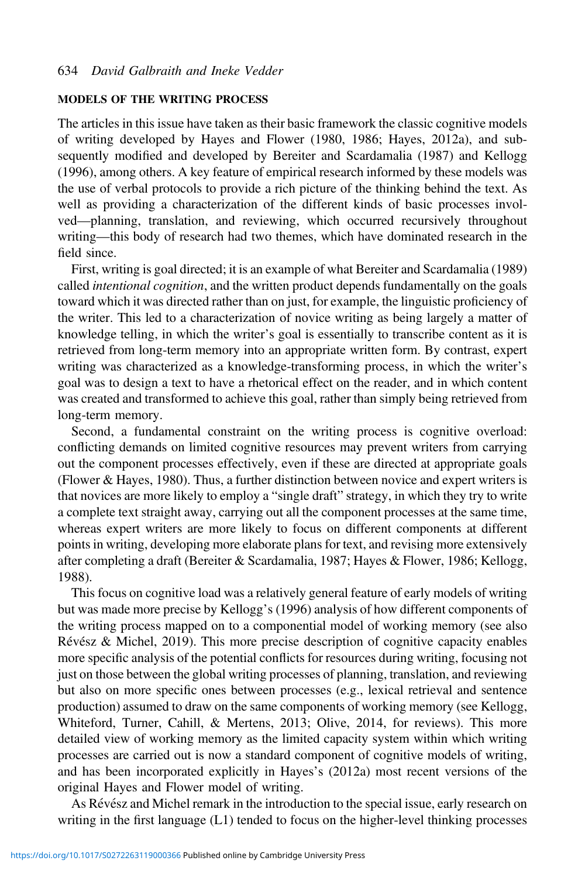#### MODELS OF THE WRITING PROCESS

The articles in this issue have taken as their basic framework the classic cognitive models of writing developed by Hayes and Flower (1980, 1986; Hayes, 2012a), and subsequently modified and developed by Bereiter and Scardamalia (1987) and Kellogg (1996), among others. A key feature of empirical research informed by these models was the use of verbal protocols to provide a rich picture of the thinking behind the text. As well as providing a characterization of the different kinds of basic processes involved—planning, translation, and reviewing, which occurred recursively throughout writing—this body of research had two themes, which have dominated research in the field since.

First, writing is goal directed; it is an example of what Bereiter and Scardamalia (1989) called intentional cognition, and the written product depends fundamentally on the goals toward which it was directed rather than on just, for example, the linguistic proficiency of the writer. This led to a characterization of novice writing as being largely a matter of knowledge telling, in which the writer's goal is essentially to transcribe content as it is retrieved from long-term memory into an appropriate written form. By contrast, expert writing was characterized as a knowledge-transforming process, in which the writer's goal was to design a text to have a rhetorical effect on the reader, and in which content was created and transformed to achieve this goal, rather than simply being retrieved from long-term memory.

Second, a fundamental constraint on the writing process is cognitive overload: conflicting demands on limited cognitive resources may prevent writers from carrying out the component processes effectively, even if these are directed at appropriate goals (Flower & Hayes, 1980). Thus, a further distinction between novice and expert writers is that novices are more likely to employ a "single draft" strategy, in which they try to write a complete text straight away, carrying out all the component processes at the same time, whereas expert writers are more likely to focus on different components at different points in writing, developing more elaborate plans for text, and revising more extensively after completing a draft (Bereiter & Scardamalia, 1987; Hayes & Flower, 1986; Kellogg, 1988).

This focus on cognitive load was a relatively general feature of early models of writing but was made more precise by Kellogg's (1996) analysis of how different components of the writing process mapped on to a componential model of working memory (see also Révész & Michel, 2019). This more precise description of cognitive capacity enables more specific analysis of the potential conflicts for resources during writing, focusing not just on those between the global writing processes of planning, translation, and reviewing but also on more specific ones between processes (e.g., lexical retrieval and sentence production) assumed to draw on the same components of working memory (see Kellogg, Whiteford, Turner, Cahill, & Mertens, 2013; Olive, 2014, for reviews). This more detailed view of working memory as the limited capacity system within which writing processes are carried out is now a standard component of cognitive models of writing, and has been incorporated explicitly in Hayes's (2012a) most recent versions of the original Hayes and Flower model of writing.

As Révész and Michel remark in the introduction to the special issue, early research on writing in the first language  $(L1)$  tended to focus on the higher-level thinking processes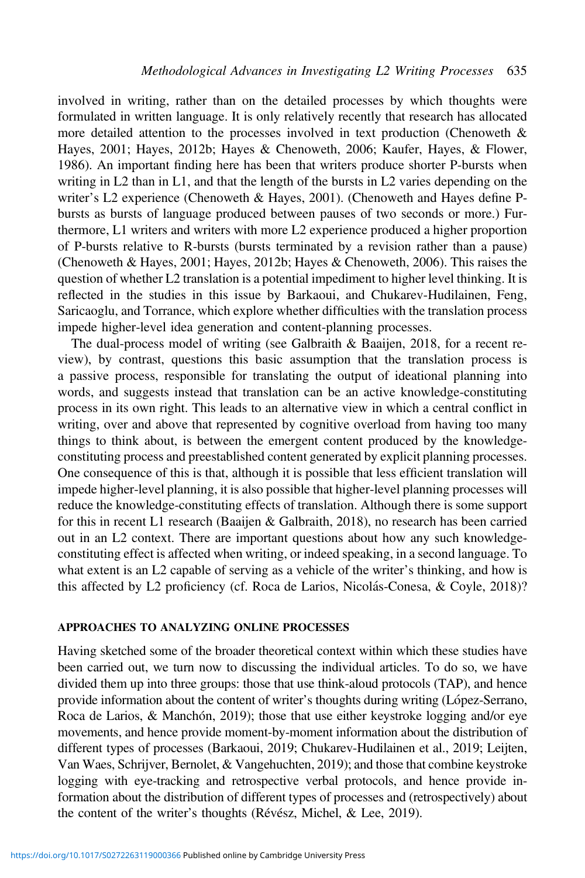involved in writing, rather than on the detailed processes by which thoughts were formulated in written language. It is only relatively recently that research has allocated more detailed attention to the processes involved in text production (Chenoweth  $\&$ Hayes, 2001; Hayes, 2012b; Hayes & Chenoweth, 2006; Kaufer, Hayes, & Flower, 1986). An important finding here has been that writers produce shorter P-bursts when writing in L2 than in L1, and that the length of the bursts in L2 varies depending on the writer's L2 experience (Chenoweth & Hayes, 2001). (Chenoweth and Hayes define Pbursts as bursts of language produced between pauses of two seconds or more.) Furthermore, L1 writers and writers with more L2 experience produced a higher proportion of P-bursts relative to R-bursts (bursts terminated by a revision rather than a pause) (Chenoweth & Hayes, 2001; Hayes, 2012b; Hayes & Chenoweth, 2006). This raises the question of whether L2 translation is a potential impediment to higher level thinking. It is reflected in the studies in this issue by Barkaoui, and Chukarev-Hudilainen, Feng, Saricaoglu, and Torrance, which explore whether difficulties with the translation process impede higher-level idea generation and content-planning processes.

The dual-process model of writing (see Galbraith & Baaijen, 2018, for a recent review), by contrast, questions this basic assumption that the translation process is a passive process, responsible for translating the output of ideational planning into words, and suggests instead that translation can be an active knowledge-constituting process in its own right. This leads to an alternative view in which a central conflict in writing, over and above that represented by cognitive overload from having too many things to think about, is between the emergent content produced by the knowledgeconstituting process and preestablished content generated by explicit planning processes. One consequence of this is that, although it is possible that less efficient translation will impede higher-level planning, it is also possible that higher-level planning processes will reduce the knowledge-constituting effects of translation. Although there is some support for this in recent L1 research (Baaijen & Galbraith, 2018), no research has been carried out in an L2 context. There are important questions about how any such knowledgeconstituting effect is affected when writing, or indeed speaking, in a second language. To what extent is an L2 capable of serving as a vehicle of the writer's thinking, and how is this affected by L2 proficiency (cf. Roca de Larios, Nicolás-Conesa, & Coyle, 2018)?

#### APPROACHES TO ANALYZING ONLINE PROCESSES

Having sketched some of the broader theoretical context within which these studies have been carried out, we turn now to discussing the individual articles. To do so, we have divided them up into three groups: those that use think-aloud protocols (TAP), and hence provide information about the content of writer's thoughts during writing (López-Serrano, Roca de Larios,  $\&$  Manchón, 2019); those that use either keystroke logging and/or eye movements, and hence provide moment-by-moment information about the distribution of different types of processes (Barkaoui, 2019; Chukarev-Hudilainen et al., 2019; Leijten, Van Waes, Schrijver, Bernolet, & Vangehuchten, 2019); and those that combine keystroke logging with eye-tracking and retrospective verbal protocols, and hence provide information about the distribution of different types of processes and (retrospectively) about the content of the writer's thoughts (Révész, Michel, & Lee, 2019).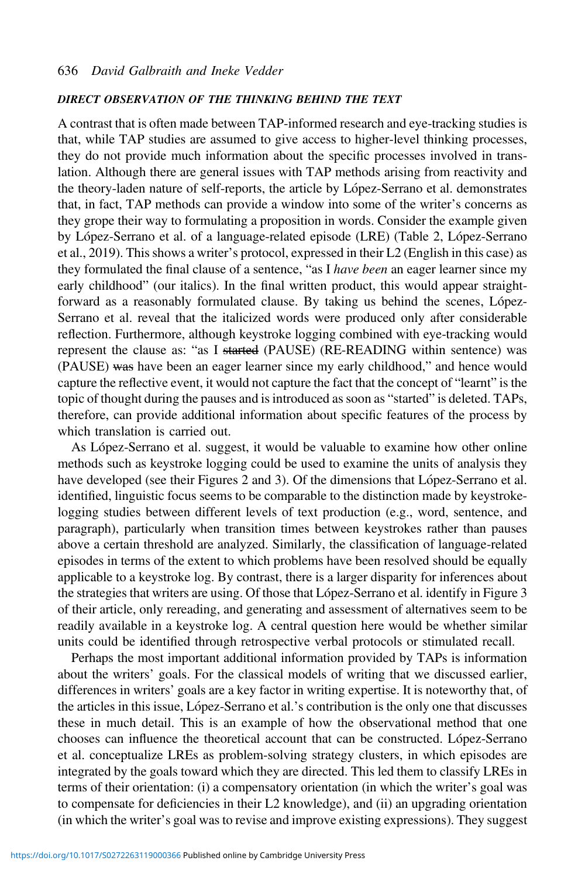#### DIRECT OBSERVATION OF THE THINKING BEHIND THE TEXT

A contrast that is often made between TAP-informed research and eye-tracking studies is that, while TAP studies are assumed to give access to higher-level thinking processes, they do not provide much information about the specific processes involved in translation. Although there are general issues with TAP methods arising from reactivity and the theory-laden nature of self-reports, the article by López-Serrano et al. demonstrates that, in fact, TAP methods can provide a window into some of the writer's concerns as they grope their way to formulating a proposition in words. Consider the example given by López-Serrano et al. of a language-related episode (LRE) (Table 2, López-Serrano et al., 2019). This shows a writer's protocol, expressed in their L2 (English in this case) as they formulated the final clause of a sentence, "as I have been an eager learner since my early childhood" (our italics). In the final written product, this would appear straightforward as a reasonably formulated clause. By taking us behind the scenes, López-Serrano et al. reveal that the italicized words were produced only after considerable reflection. Furthermore, although keystroke logging combined with eye-tracking would represent the clause as: "as I started (PAUSE) (RE-READING within sentence) was (PAUSE) was have been an eager learner since my early childhood," and hence would capture the reflective event, it would not capture the fact that the concept of "learnt" is the topic of thought during the pauses and is introduced as soon as "started" is deleted. TAPs, therefore, can provide additional information about specific features of the process by which translation is carried out.

As López-Serrano et al. suggest, it would be valuable to examine how other online methods such as keystroke logging could be used to examine the units of analysis they have developed (see their Figures 2 and 3). Of the dimensions that López-Serrano et al. identified, linguistic focus seems to be comparable to the distinction made by keystrokelogging studies between different levels of text production (e.g., word, sentence, and paragraph), particularly when transition times between keystrokes rather than pauses above a certain threshold are analyzed. Similarly, the classification of language-related episodes in terms of the extent to which problems have been resolved should be equally applicable to a keystroke log. By contrast, there is a larger disparity for inferences about the strategies that writers are using. Of those that López-Serrano et al. identify in Figure 3 of their article, only rereading, and generating and assessment of alternatives seem to be readily available in a keystroke log. A central question here would be whether similar units could be identified through retrospective verbal protocols or stimulated recall.

Perhaps the most important additional information provided by TAPs is information about the writers' goals. For the classical models of writing that we discussed earlier, differences in writers' goals are a key factor in writing expertise. It is noteworthy that, of the articles in this issue, López-Serrano et al.'s contribution is the only one that discusses these in much detail. This is an example of how the observational method that one chooses can influence the theoretical account that can be constructed. López-Serrano et al. conceptualize LREs as problem-solving strategy clusters, in which episodes are integrated by the goals toward which they are directed. This led them to classify LREs in terms of their orientation: (i) a compensatory orientation (in which the writer's goal was to compensate for deficiencies in their L2 knowledge), and (ii) an upgrading orientation (in which the writer's goal was to revise and improve existing expressions). They suggest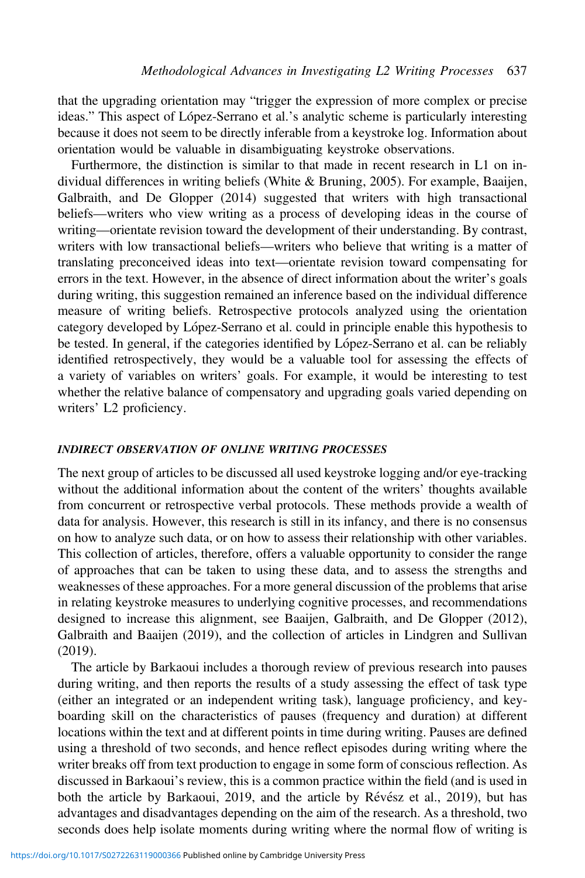that the upgrading orientation may "trigger the expression of more complex or precise ideas." This aspect of López-Serrano et al.'s analytic scheme is particularly interesting because it does not seem to be directly inferable from a keystroke log. Information about orientation would be valuable in disambiguating keystroke observations.

Furthermore, the distinction is similar to that made in recent research in L1 on individual differences in writing beliefs (White & Bruning, 2005). For example, Baaijen, Galbraith, and De Glopper (2014) suggested that writers with high transactional beliefs—writers who view writing as a process of developing ideas in the course of writing—orientate revision toward the development of their understanding. By contrast, writers with low transactional beliefs—writers who believe that writing is a matter of translating preconceived ideas into text—orientate revision toward compensating for errors in the text. However, in the absence of direct information about the writer's goals during writing, this suggestion remained an inference based on the individual difference measure of writing beliefs. Retrospective protocols analyzed using the orientation category developed by López-Serrano et al. could in principle enable this hypothesis to be tested. In general, if the categories identified by López-Serrano et al. can be reliably identified retrospectively, they would be a valuable tool for assessing the effects of a variety of variables on writers' goals. For example, it would be interesting to test whether the relative balance of compensatory and upgrading goals varied depending on writers' L2 proficiency.

#### INDIRECT OBSERVATION OF ONLINE WRITING PROCESSES

The next group of articles to be discussed all used keystroke logging and/or eye-tracking without the additional information about the content of the writers' thoughts available from concurrent or retrospective verbal protocols. These methods provide a wealth of data for analysis. However, this research is still in its infancy, and there is no consensus on how to analyze such data, or on how to assess their relationship with other variables. This collection of articles, therefore, offers a valuable opportunity to consider the range of approaches that can be taken to using these data, and to assess the strengths and weaknesses of these approaches. For a more general discussion of the problems that arise in relating keystroke measures to underlying cognitive processes, and recommendations designed to increase this alignment, see Baaijen, Galbraith, and De Glopper (2012), Galbraith and Baaijen (2019), and the collection of articles in Lindgren and Sullivan (2019).

The article by Barkaoui includes a thorough review of previous research into pauses during writing, and then reports the results of a study assessing the effect of task type (either an integrated or an independent writing task), language proficiency, and keyboarding skill on the characteristics of pauses (frequency and duration) at different locations within the text and at different points in time during writing. Pauses are defined using a threshold of two seconds, and hence reflect episodes during writing where the writer breaks off from text production to engage in some form of conscious reflection. As discussed in Barkaoui's review, this is a common practice within the field (and is used in both the article by Barkaoui,  $2019$ , and the article by Révész et al.,  $2019$ ), but has advantages and disadvantages depending on the aim of the research. As a threshold, two seconds does help isolate moments during writing where the normal flow of writing is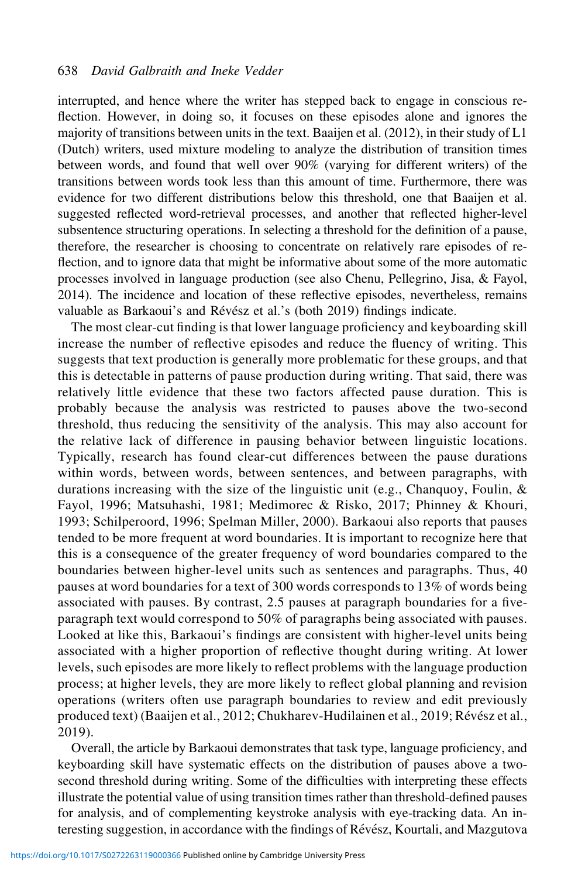interrupted, and hence where the writer has stepped back to engage in conscious reflection. However, in doing so, it focuses on these episodes alone and ignores the majority of transitions between units in the text. Baaijen et al. (2012), in their study of L1 (Dutch) writers, used mixture modeling to analyze the distribution of transition times between words, and found that well over 90% (varying for different writers) of the transitions between words took less than this amount of time. Furthermore, there was evidence for two different distributions below this threshold, one that Baaijen et al. suggested reflected word-retrieval processes, and another that reflected higher-level subsentence structuring operations. In selecting a threshold for the definition of a pause, therefore, the researcher is choosing to concentrate on relatively rare episodes of reflection, and to ignore data that might be informative about some of the more automatic processes involved in language production (see also Chenu, Pellegrino, Jisa, & Fayol, 2014). The incidence and location of these reflective episodes, nevertheless, remains valuable as Barkaoui's and Révész et al.'s (both 2019) findings indicate.

The most clear-cut finding is that lower language proficiency and keyboarding skill increase the number of reflective episodes and reduce the fluency of writing. This suggests that text production is generally more problematic for these groups, and that this is detectable in patterns of pause production during writing. That said, there was relatively little evidence that these two factors affected pause duration. This is probably because the analysis was restricted to pauses above the two-second threshold, thus reducing the sensitivity of the analysis. This may also account for the relative lack of difference in pausing behavior between linguistic locations. Typically, research has found clear-cut differences between the pause durations within words, between words, between sentences, and between paragraphs, with durations increasing with the size of the linguistic unit (e.g., Chanquoy, Foulin, & Fayol, 1996; Matsuhashi, 1981; Medimorec & Risko, 2017; Phinney & Khouri, 1993; Schilperoord, 1996; Spelman Miller, 2000). Barkaoui also reports that pauses tended to be more frequent at word boundaries. It is important to recognize here that this is a consequence of the greater frequency of word boundaries compared to the boundaries between higher-level units such as sentences and paragraphs. Thus, 40 pauses at word boundaries for a text of 300 words corresponds to 13% of words being associated with pauses. By contrast, 2.5 pauses at paragraph boundaries for a fiveparagraph text would correspond to 50% of paragraphs being associated with pauses. Looked at like this, Barkaoui's findings are consistent with higher-level units being associated with a higher proportion of reflective thought during writing. At lower levels, such episodes are more likely to reflect problems with the language production process; at higher levels, they are more likely to reflect global planning and revision operations (writers often use paragraph boundaries to review and edit previously produced text) (Baaijen et al., 2012; Chukharev-Hudilainen et al., 2019; Révész et al., 2019).

Overall, the article by Barkaoui demonstrates that task type, language proficiency, and keyboarding skill have systematic effects on the distribution of pauses above a twosecond threshold during writing. Some of the difficulties with interpreting these effects illustrate the potential value of using transition times rather than threshold-defined pauses for analysis, and of complementing keystroke analysis with eye-tracking data. An interesting suggestion, in accordance with the findings of Révész, Kourtali, and Mazgutova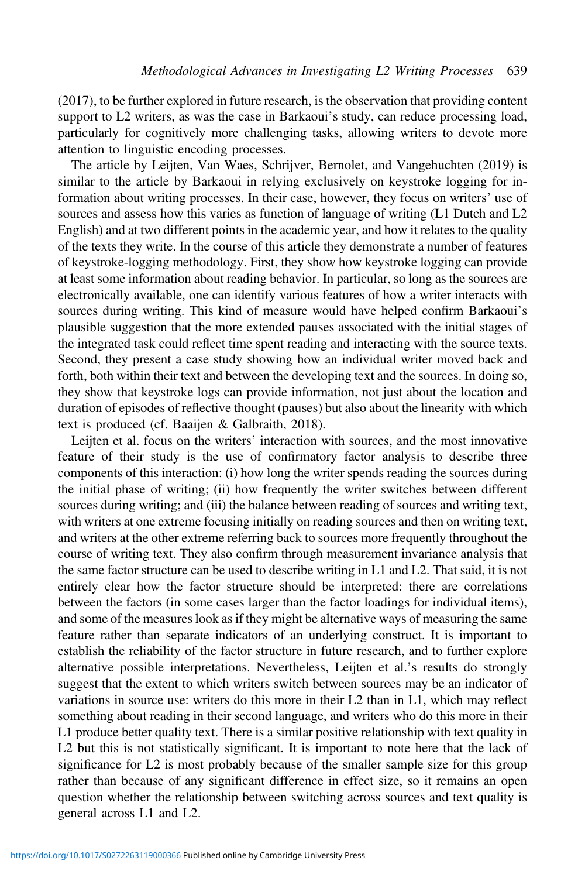(2017), to be further explored in future research, is the observation that providing content support to L2 writers, as was the case in Barkaoui's study, can reduce processing load, particularly for cognitively more challenging tasks, allowing writers to devote more attention to linguistic encoding processes.

The article by Leijten, Van Waes, Schrijver, Bernolet, and Vangehuchten (2019) is similar to the article by Barkaoui in relying exclusively on keystroke logging for information about writing processes. In their case, however, they focus on writers' use of sources and assess how this varies as function of language of writing (L1 Dutch and L2 English) and at two different points in the academic year, and how it relates to the quality of the texts they write. In the course of this article they demonstrate a number of features of keystroke-logging methodology. First, they show how keystroke logging can provide at least some information about reading behavior. In particular, so long as the sources are electronically available, one can identify various features of how a writer interacts with sources during writing. This kind of measure would have helped confirm Barkaoui's plausible suggestion that the more extended pauses associated with the initial stages of the integrated task could reflect time spent reading and interacting with the source texts. Second, they present a case study showing how an individual writer moved back and forth, both within their text and between the developing text and the sources. In doing so, they show that keystroke logs can provide information, not just about the location and duration of episodes of reflective thought (pauses) but also about the linearity with which text is produced (cf. Baaijen & Galbraith, 2018).

Leijten et al. focus on the writers' interaction with sources, and the most innovative feature of their study is the use of confirmatory factor analysis to describe three components of this interaction: (i) how long the writer spends reading the sources during the initial phase of writing; (ii) how frequently the writer switches between different sources during writing; and (iii) the balance between reading of sources and writing text, with writers at one extreme focusing initially on reading sources and then on writing text, and writers at the other extreme referring back to sources more frequently throughout the course of writing text. They also confirm through measurement invariance analysis that the same factor structure can be used to describe writing in L1 and L2. That said, it is not entirely clear how the factor structure should be interpreted: there are correlations between the factors (in some cases larger than the factor loadings for individual items), and some of the measures look as if they might be alternative ways of measuring the same feature rather than separate indicators of an underlying construct. It is important to establish the reliability of the factor structure in future research, and to further explore alternative possible interpretations. Nevertheless, Leijten et al.'s results do strongly suggest that the extent to which writers switch between sources may be an indicator of variations in source use: writers do this more in their L2 than in L1, which may reflect something about reading in their second language, and writers who do this more in their L1 produce better quality text. There is a similar positive relationship with text quality in L2 but this is not statistically significant. It is important to note here that the lack of significance for L2 is most probably because of the smaller sample size for this group rather than because of any significant difference in effect size, so it remains an open question whether the relationship between switching across sources and text quality is general across L1 and L2.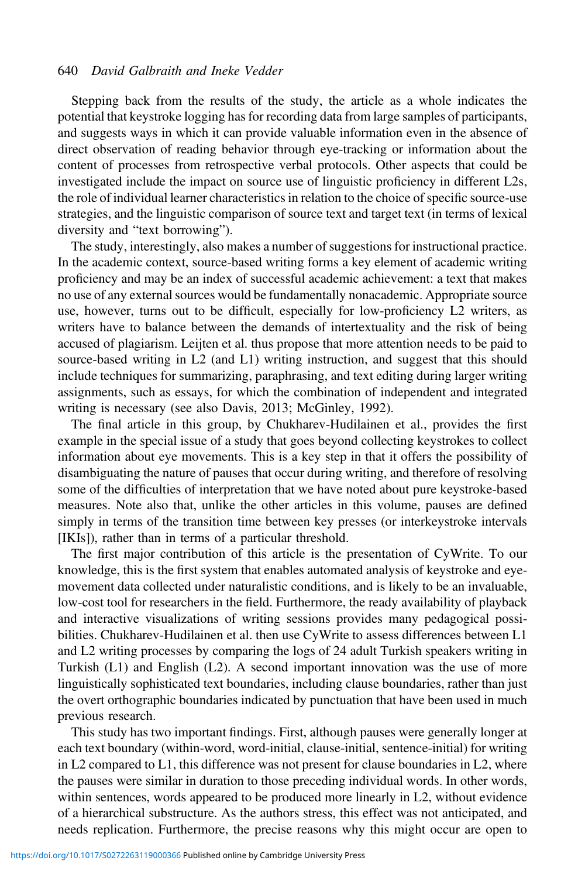#### 640 David Galbraith and Ineke Vedder

Stepping back from the results of the study, the article as a whole indicates the potential that keystroke logging has for recording data from large samples of participants, and suggests ways in which it can provide valuable information even in the absence of direct observation of reading behavior through eye-tracking or information about the content of processes from retrospective verbal protocols. Other aspects that could be investigated include the impact on source use of linguistic proficiency in different L2s, the role of individual learner characteristics in relation to the choice of specific source-use strategies, and the linguistic comparison of source text and target text (in terms of lexical diversity and "text borrowing").

The study, interestingly, also makes a number of suggestions for instructional practice. In the academic context, source-based writing forms a key element of academic writing proficiency and may be an index of successful academic achievement: a text that makes no use of any external sources would be fundamentally nonacademic. Appropriate source use, however, turns out to be difficult, especially for low-proficiency L2 writers, as writers have to balance between the demands of intertextuality and the risk of being accused of plagiarism. Leijten et al. thus propose that more attention needs to be paid to source-based writing in L2 (and L1) writing instruction, and suggest that this should include techniques for summarizing, paraphrasing, and text editing during larger writing assignments, such as essays, for which the combination of independent and integrated writing is necessary (see also Davis, 2013; McGinley, 1992).

The final article in this group, by Chukharev-Hudilainen et al., provides the first example in the special issue of a study that goes beyond collecting keystrokes to collect information about eye movements. This is a key step in that it offers the possibility of disambiguating the nature of pauses that occur during writing, and therefore of resolving some of the difficulties of interpretation that we have noted about pure keystroke-based measures. Note also that, unlike the other articles in this volume, pauses are defined simply in terms of the transition time between key presses (or interkeystroke intervals [IKIs]), rather than in terms of a particular threshold.

The first major contribution of this article is the presentation of CyWrite. To our knowledge, this is the first system that enables automated analysis of keystroke and eyemovement data collected under naturalistic conditions, and is likely to be an invaluable, low-cost tool for researchers in the field. Furthermore, the ready availability of playback and interactive visualizations of writing sessions provides many pedagogical possibilities. Chukharev-Hudilainen et al. then use CyWrite to assess differences between L1 and L2 writing processes by comparing the logs of 24 adult Turkish speakers writing in Turkish (L1) and English (L2). A second important innovation was the use of more linguistically sophisticated text boundaries, including clause boundaries, rather than just the overt orthographic boundaries indicated by punctuation that have been used in much previous research.

This study has two important findings. First, although pauses were generally longer at each text boundary (within-word, word-initial, clause-initial, sentence-initial) for writing in L2 compared to L1, this difference was not present for clause boundaries in L2, where the pauses were similar in duration to those preceding individual words. In other words, within sentences, words appeared to be produced more linearly in L2, without evidence of a hierarchical substructure. As the authors stress, this effect was not anticipated, and needs replication. Furthermore, the precise reasons why this might occur are open to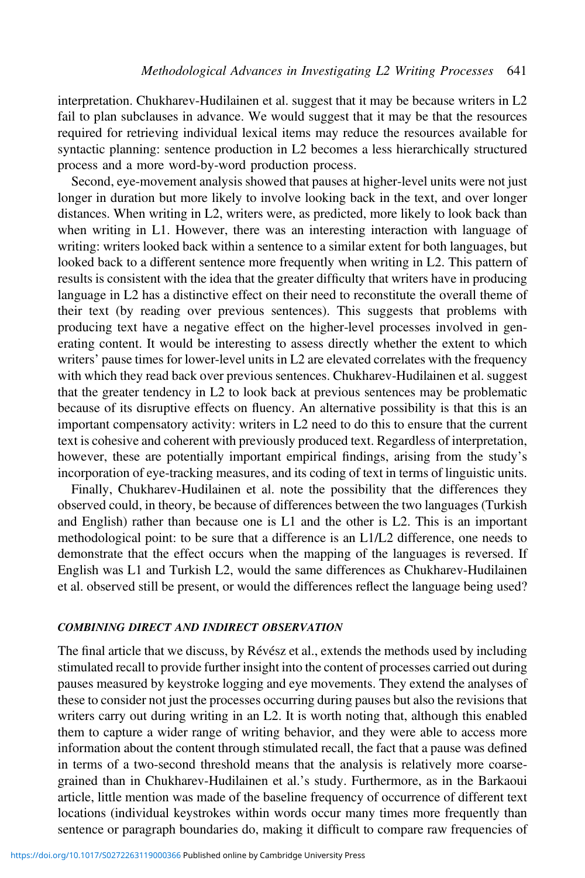interpretation. Chukharev-Hudilainen et al. suggest that it may be because writers in L2 fail to plan subclauses in advance. We would suggest that it may be that the resources required for retrieving individual lexical items may reduce the resources available for syntactic planning: sentence production in L2 becomes a less hierarchically structured process and a more word-by-word production process.

Second, eye-movement analysis showed that pauses at higher-level units were not just longer in duration but more likely to involve looking back in the text, and over longer distances. When writing in L2, writers were, as predicted, more likely to look back than when writing in L1. However, there was an interesting interaction with language of writing: writers looked back within a sentence to a similar extent for both languages, but looked back to a different sentence more frequently when writing in L2. This pattern of results is consistent with the idea that the greater difficulty that writers have in producing language in L2 has a distinctive effect on their need to reconstitute the overall theme of their text (by reading over previous sentences). This suggests that problems with producing text have a negative effect on the higher-level processes involved in generating content. It would be interesting to assess directly whether the extent to which writers' pause times for lower-level units in L2 are elevated correlates with the frequency with which they read back over previous sentences. Chukharev-Hudilainen et al. suggest that the greater tendency in L2 to look back at previous sentences may be problematic because of its disruptive effects on fluency. An alternative possibility is that this is an important compensatory activity: writers in L2 need to do this to ensure that the current text is cohesive and coherent with previously produced text. Regardless of interpretation, however, these are potentially important empirical findings, arising from the study's incorporation of eye-tracking measures, and its coding of text in terms of linguistic units.

Finally, Chukharev-Hudilainen et al. note the possibility that the differences they observed could, in theory, be because of differences between the two languages (Turkish and English) rather than because one is L1 and the other is L2. This is an important methodological point: to be sure that a difference is an L1/L2 difference, one needs to demonstrate that the effect occurs when the mapping of the languages is reversed. If English was L1 and Turkish L2, would the same differences as Chukharev-Hudilainen et al. observed still be present, or would the differences reflect the language being used?

#### COMBINING DIRECT AND INDIRECT OBSERVATION

The final article that we discuss, by Révész et al., extends the methods used by including stimulated recall to provide further insight into the content of processes carried out during pauses measured by keystroke logging and eye movements. They extend the analyses of these to consider not just the processes occurring during pauses but also the revisions that writers carry out during writing in an L2. It is worth noting that, although this enabled them to capture a wider range of writing behavior, and they were able to access more information about the content through stimulated recall, the fact that a pause was defined in terms of a two-second threshold means that the analysis is relatively more coarsegrained than in Chukharev-Hudilainen et al.'s study. Furthermore, as in the Barkaoui article, little mention was made of the baseline frequency of occurrence of different text locations (individual keystrokes within words occur many times more frequently than sentence or paragraph boundaries do, making it difficult to compare raw frequencies of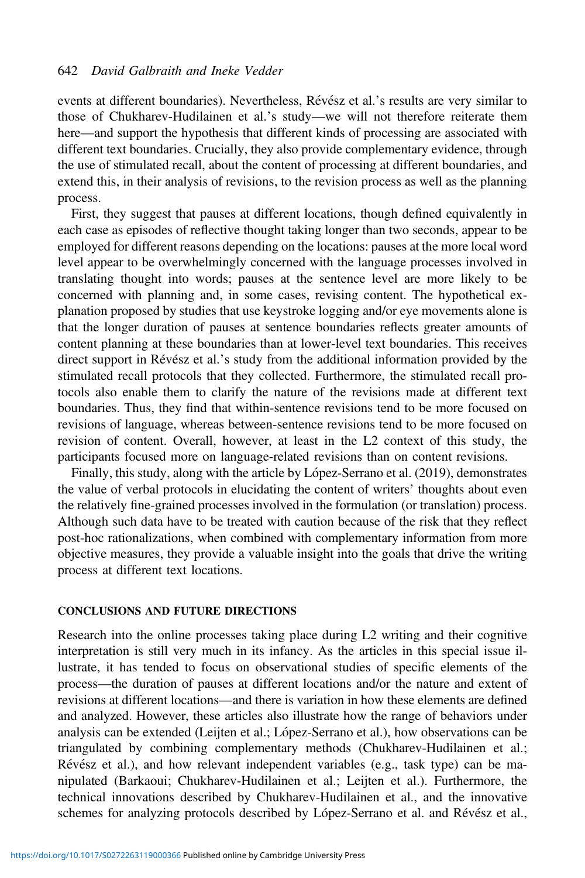#### 642 David Galbraith and Ineke Vedder

events at different boundaries). Nevertheless, Révész et al.'s results are very similar to those of Chukharev-Hudilainen et al.'s study—we will not therefore reiterate them here—and support the hypothesis that different kinds of processing are associated with different text boundaries. Crucially, they also provide complementary evidence, through the use of stimulated recall, about the content of processing at different boundaries, and extend this, in their analysis of revisions, to the revision process as well as the planning process.

First, they suggest that pauses at different locations, though defined equivalently in each case as episodes of reflective thought taking longer than two seconds, appear to be employed for different reasons depending on the locations: pauses at the more local word level appear to be overwhelmingly concerned with the language processes involved in translating thought into words; pauses at the sentence level are more likely to be concerned with planning and, in some cases, revising content. The hypothetical explanation proposed by studies that use keystroke logging and/or eye movements alone is that the longer duration of pauses at sentence boundaries reflects greater amounts of content planning at these boundaries than at lower-level text boundaries. This receives direct support in Révész et al.'s study from the additional information provided by the stimulated recall protocols that they collected. Furthermore, the stimulated recall protocols also enable them to clarify the nature of the revisions made at different text boundaries. Thus, they find that within-sentence revisions tend to be more focused on revisions of language, whereas between-sentence revisions tend to be more focused on revision of content. Overall, however, at least in the L2 context of this study, the participants focused more on language-related revisions than on content revisions.

Finally, this study, along with the article by López-Serrano et al. (2019), demonstrates the value of verbal protocols in elucidating the content of writers' thoughts about even the relatively fine-grained processes involved in the formulation (or translation) process. Although such data have to be treated with caution because of the risk that they reflect post-hoc rationalizations, when combined with complementary information from more objective measures, they provide a valuable insight into the goals that drive the writing process at different text locations.

#### CONCLUSIONS AND FUTURE DIRECTIONS

Research into the online processes taking place during L2 writing and their cognitive interpretation is still very much in its infancy. As the articles in this special issue illustrate, it has tended to focus on observational studies of specific elements of the process—the duration of pauses at different locations and/or the nature and extent of revisions at different locations—and there is variation in how these elements are defined and analyzed. However, these articles also illustrate how the range of behaviors under analysis can be extended (Leijten et al.; López-Serrano et al.), how observations can be triangulated by combining complementary methods (Chukharev-Hudilainen et al.; Révész et al.), and how relevant independent variables (e.g., task type) can be manipulated (Barkaoui; Chukharev-Hudilainen et al.; Leijten et al.). Furthermore, the technical innovations described by Chukharev-Hudilainen et al., and the innovative schemes for analyzing protocols described by López-Serrano et al. and Révész et al.,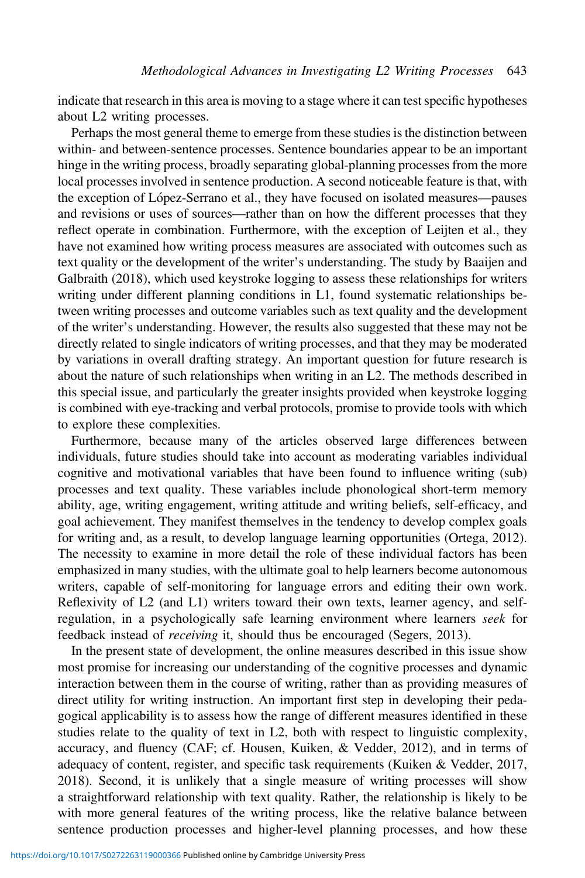indicate that research in this area is moving to a stage where it can test specific hypotheses about L2 writing processes.

Perhaps the most general theme to emerge from these studies is the distinction between within- and between-sentence processes. Sentence boundaries appear to be an important hinge in the writing process, broadly separating global-planning processes from the more local processes involved in sentence production. A second noticeable feature is that, with the exception of López-Serrano et al., they have focused on isolated measures—pauses and revisions or uses of sources—rather than on how the different processes that they reflect operate in combination. Furthermore, with the exception of Leijten et al., they have not examined how writing process measures are associated with outcomes such as text quality or the development of the writer's understanding. The study by Baaijen and Galbraith (2018), which used keystroke logging to assess these relationships for writers writing under different planning conditions in L1, found systematic relationships between writing processes and outcome variables such as text quality and the development of the writer's understanding. However, the results also suggested that these may not be directly related to single indicators of writing processes, and that they may be moderated by variations in overall drafting strategy. An important question for future research is about the nature of such relationships when writing in an L2. The methods described in this special issue, and particularly the greater insights provided when keystroke logging is combined with eye-tracking and verbal protocols, promise to provide tools with which to explore these complexities.

Furthermore, because many of the articles observed large differences between individuals, future studies should take into account as moderating variables individual cognitive and motivational variables that have been found to influence writing (sub) processes and text quality. These variables include phonological short-term memory ability, age, writing engagement, writing attitude and writing beliefs, self-efficacy, and goal achievement. They manifest themselves in the tendency to develop complex goals for writing and, as a result, to develop language learning opportunities (Ortega, 2012). The necessity to examine in more detail the role of these individual factors has been emphasized in many studies, with the ultimate goal to help learners become autonomous writers, capable of self-monitoring for language errors and editing their own work. Reflexivity of L2 (and L1) writers toward their own texts, learner agency, and selfregulation, in a psychologically safe learning environment where learners seek for feedback instead of receiving it, should thus be encouraged (Segers, 2013).

In the present state of development, the online measures described in this issue show most promise for increasing our understanding of the cognitive processes and dynamic interaction between them in the course of writing, rather than as providing measures of direct utility for writing instruction. An important first step in developing their pedagogical applicability is to assess how the range of different measures identified in these studies relate to the quality of text in L2, both with respect to linguistic complexity, accuracy, and fluency (CAF; cf. Housen, Kuiken, & Vedder, 2012), and in terms of adequacy of content, register, and specific task requirements (Kuiken & Vedder, 2017, 2018). Second, it is unlikely that a single measure of writing processes will show a straightforward relationship with text quality. Rather, the relationship is likely to be with more general features of the writing process, like the relative balance between sentence production processes and higher-level planning processes, and how these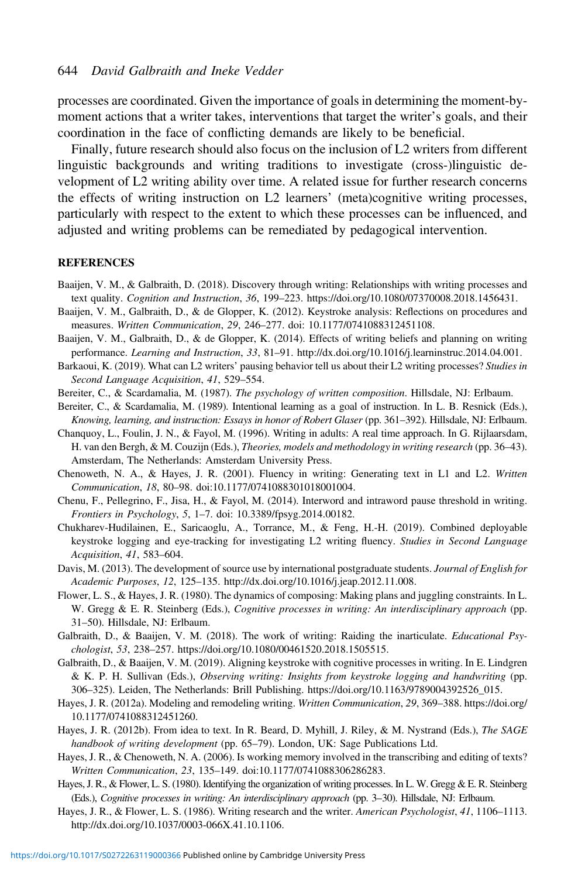processes are coordinated. Given the importance of goals in determining the moment-bymoment actions that a writer takes, interventions that target the writer's goals, and their coordination in the face of conflicting demands are likely to be beneficial.

Finally, future research should also focus on the inclusion of L2 writers from different linguistic backgrounds and writing traditions to investigate (cross-)linguistic development of L2 writing ability over time. A related issue for further research concerns the effects of writing instruction on L2 learners' (meta)cognitive writing processes, particularly with respect to the extent to which these processes can be influenced, and adjusted and writing problems can be remediated by pedagogical intervention.

#### REFERENCES

- Baaijen, V. M., & Galbraith, D. (2018). Discovery through writing: Relationships with writing processes and text quality. Cognition and Instruction, 36, 199–223. [https://doi.org/10.1080/07370008.2018.1456431.](https://doi.org/10.1080/07370008.2018.1456431)
- Baaijen, V. M., Galbraith, D., & de Glopper, K. (2012). Keystroke analysis: Reflections on procedures and measures. Written Communication, 29, 246–277. doi: [10.1177/0741088312451108](https://doi.org/10.1177/0741088312451108).
- Baaijen, V. M., Galbraith, D., & de Glopper, K. (2014). Effects of writing beliefs and planning on writing performance. Learning and Instruction, 33, 81–91. [http://dx.doi.org/10.1016/j.learninstruc.2014.04.001.](http://dx.doi.org/10.1016/j.learninstruc.2014.04.001)
- Barkaoui, K. (2019). What can L2 writers' pausing behavior tell us about their L2 writing processes? Studies in Second Language Acquisition, 41, 529–554.
- Bereiter, C., & Scardamalia, M. (1987). The psychology of written composition. Hillsdale, NJ: Erlbaum.
- Bereiter, C., & Scardamalia, M. (1989). Intentional learning as a goal of instruction. In L. B. Resnick (Eds.), Knowing, learning, and instruction: Essays in honor of Robert Glaser (pp. 361–392). Hillsdale, NJ: Erlbaum.
- Chanquoy, L., Foulin, J. N., & Fayol, M. (1996). Writing in adults: A real time approach. In G. Rijlaarsdam, H. van den Bergh, & M. Couzijn (Eds.), Theories, models and methodology in writing research (pp. 36–43). Amsterdam, The Netherlands: Amsterdam University Press.
- Chenoweth, N. A., & Hayes, J. R. (2001). Fluency in writing: Generating text in L1 and L2. Written Communication, 18, 80–98. doi[:10.1177/0741088301018001004.](https://doi.org/10.1177/0741088301018001004)
- Chenu, F., Pellegrino, F., Jisa, H., & Fayol, M. (2014). Interword and intraword pause threshold in writing. Frontiers in Psychology, 5, 1–7. doi: [10.3389/fpsyg.2014.00182](https://doi.org/10.3389/fpsyg.2014.00182).
- Chukharev-Hudilainen, E., Saricaoglu, A., Torrance, M., & Feng, H.-H. (2019). Combined deployable keystroke logging and eye-tracking for investigating L2 writing fluency. Studies in Second Language Acquisition, 41, 583–604.
- Davis, M. (2013). The development of source use by international postgraduate students. Journal of English for Academic Purposes, 12, 125–135. [http://dx.doi.org/10.1016/j.jeap.2012.11.008.](http://dx.doi.org/10.1016/j.jeap.2012.11.008)
- Flower, L. S., & Hayes, J. R. (1980). The dynamics of composing: Making plans and juggling constraints. In L. W. Gregg & E. R. Steinberg (Eds.), Cognitive processes in writing: An interdisciplinary approach (pp. 31–50). Hillsdale, NJ: Erlbaum.
- Galbraith, D., & Baaijen, V. M. (2018). The work of writing: Raiding the inarticulate. Educational Psychologist, 53, 238–257.<https://doi.org/10.1080/00461520.2018.1505515>.
- Galbraith, D., & Baaijen, V. M. (2019). Aligning keystroke with cognitive processes in writing. In E. Lindgren & K. P. H. Sullivan (Eds.), Observing writing: Insights from keystroke logging and handwriting (pp. 306–325). Leiden, The Netherlands: Brill Publishing. [https://doi.org/10.1163/9789004392526\\_015](https://doi.org/10.1163/9789004392526_015).
- Hayes, J. R. (2012a). Modeling and remodeling writing. Written Communication, 29, 369–388. [https://doi.org/](https://doi.org/10.1177/0741088312451260) [10.1177/0741088312451260](https://doi.org/10.1177/0741088312451260).
- Hayes, J. R. (2012b). From idea to text. In R. Beard, D. Myhill, J. Riley, & M. Nystrand (Eds.), The SAGE handbook of writing development (pp. 65–79). London, UK: Sage Publications Ltd.
- Hayes, J. R., & Chenoweth, N. A. (2006). Is working memory involved in the transcribing and editing of texts? Written Communication, 23, 135–149. doi[:10.1177/0741088306286283.](https://doi.org/10.1177/0741088306286283)
- Hayes, J. R., & Flower, L. S. (1980). Identifying the organization of writing processes. In L. W. Gregg & E. R. Steinberg (Eds.), Cognitive processes in writing: An interdisciplinary approach (pp. 3–30). Hillsdale, NJ: Erlbaum.
- Hayes, J. R., & Flower, L. S. (1986). Writing research and the writer. American Psychologist, 41, 1106–1113. [http://dx.doi.org/10.1037/0003-066X.41.10.1106.](http://dx.doi.org/10.1037/0003-066X.41.10.1106)